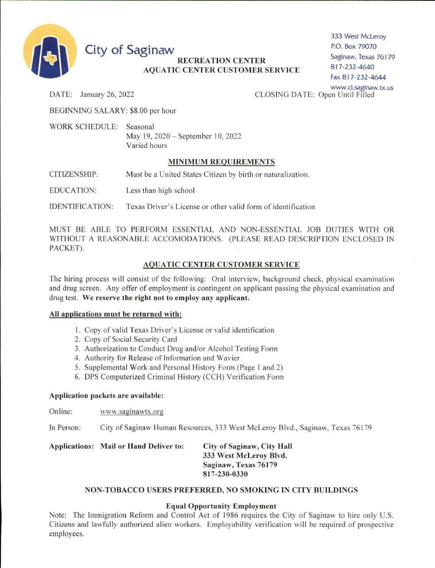

**City of Saginaw** 

# **RECREATION CENTER AQUATIC CENTER CUSTOMER SERVICE**

333 West McLeroy P.O. Box 79070 Saginaw, Texas 76179 817-232-4640 Fax 817-232-4644 www.ci.saginaw.tx.us

DATE: January 26, 2022

CLOSING DATE: Open Until Filled

BEGINNING SALARY: \$8.00 per hour

WORK SCHEDULE: Seasonal May 19, 2020 - September 10, 2022 Varied hours

# **MINIMUM REQUIREMENTS**

**CITIZENSHIP:** Must be a United States Citizen by birth or naturalization.

**EDUCATION:** Less than high school

**IDENTIFICATION:** Texas Driver's License or other valid form of identification

MUST BE ABLE TO PERFORM ESSENTIAL AND NON-ESSENTIAL JOB DUTIES WITH OR WITHOUT A REASONABLE ACCOMODATIONS. (PLEASE READ DESCRIPTION ENCLOSED IN PACKET).

# **AQUATIC CENTER CUSTOMER SERVICE**

The hiring process will consist of the following: Oral interview, background check, physical examination and drug screen. Any offer of employment is contingent on applicant passing the physical examination and drug test. We reserve the right not to employ any applicant.

#### All applications must be returned with:

- 1. Copy of valid Texas Driver's License or valid identification
- 2. Copy of Social Security Card
- 3. Authorization to Conduct Drug and/or Alcohol Testing Form
- 4. Authority for Release of Information and Wavier
- 5. Supplemental Work and Personal History Form (Page 1 and 2)
- 6. DPS Computerized Criminal History (CCH) Verification Form

#### Application packets are available:

Online: www.saginawtx.org

In Person: City of Saginaw Human Resources, 333 West McLeroy Blvd., Saginaw, Texas 76179

#### Applications: Mail or Hand Deliver to: **City of Saginaw, City Hall** 333 West McLeroy Blvd. Saginaw, Texas 76179 817-230-0330

# NON-TOBACCO USERS PREFERRED, NO SMOKING IN CITY BUILDINGS

#### **Equal Opportunity Employment**

Note: The Immigration Reform and Control Act of 1986 requires the City of Saginaw to hire only U.S. Citizens and lawfully authorized alien workers. Employability verification will be required of prospective employees.